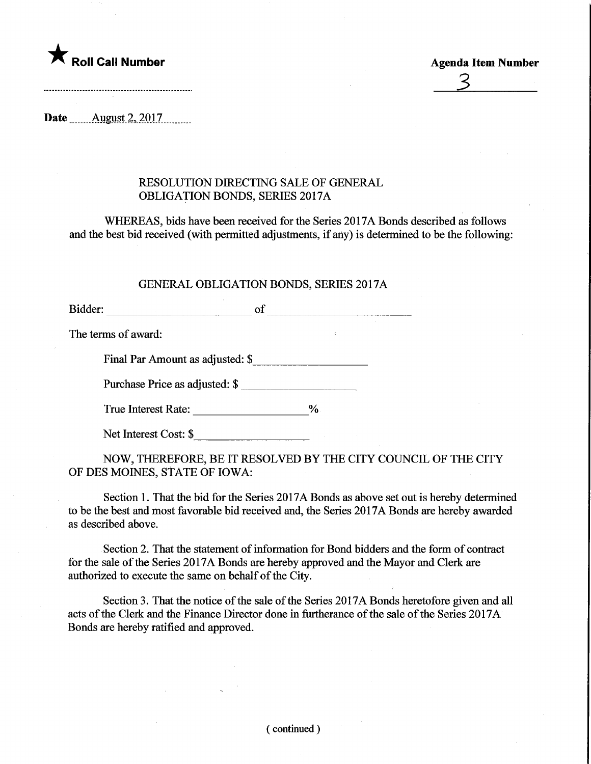

\_J\_

Date **August** 2, 2017.

## RESOLUTION DIRECTING SALE OF GENERAL OBLIGATION BONDS, SERIES 2017A

WHEREAS, bids have been received for the Series 2017A Bonds described as follows and the best bid received (with permitted adjustments, if any) is determined to be the following:

## GENERAL OBLIGATION BONDS, SERIES 2017A

Bidder: of of

The terms of award:

Final Par Amount as adjusted: \$

Purchase Price as adjusted: \$

True Interest Rate: \_\_\_\_\_\_\_\_\_\_\_\_\_\_\_\_\_\_\_\_%

Net Interest Cost: \$

NOW, THEREFORE, BE IT RESOLVED BY THE CITY COUNCIL OF THE CITY OF DES MOINES, STATE OF IOWA:

Section 1. That the bid for the Series 2017A Bonds as above set out is hereby determined to be the best and most favorable bid received and, the Series 2017A Bonds are hereby awarded as described above.

Section 2. That the statement of information for Bond bidders and the form of contract for the sale of the Series 2017A Bonds are hereby approved and the Mayor and Clerk are authorized to execute the same on behalf of the City.

Section 3. That the notice of the sale of the Series 2017A Bonds heretofore given and all acts of the Clerk and the Finance Director done in furtherance of the sale of the Series 2017A Bonds are hereby ratified and approved.